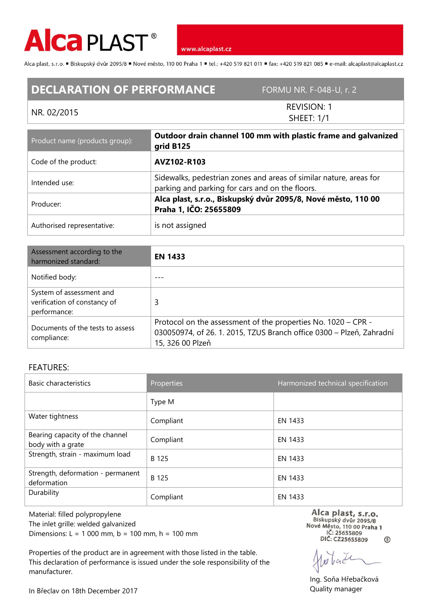

www.alcaplast.cz

Alca plast, s.r.o. "Biskupský dvůr 2095/8 "Nové město, 110 00 Praha 1 "tel.: +420 519 821 011 "fax: +420 519 821 085 " e-mail: alcaplast@alcaplast.cz

## **DECLARATION OF PERFORMANCE** FORMU NR. F-048-U, r. 2

## NR. 02/2015

REVISION: 1 SHEET: 1/1

| Product name (products group): | Outdoor drain channel 100 mm with plastic frame and galvanized<br>grid B125                                           |  |
|--------------------------------|-----------------------------------------------------------------------------------------------------------------------|--|
| Code of the product:           | AVZ102-R103                                                                                                           |  |
| Intended use:                  | Sidewalks, pedestrian zones and areas of similar nature, areas for<br>parking and parking for cars and on the floors. |  |
| Producer:                      | Alca plast, s.r.o., Biskupský dvůr 2095/8, Nové město, 110 00<br>Praha 1, IČO: 25655809                               |  |
| Authorised representative:     | is not assigned                                                                                                       |  |

| Assessment according to the<br>harmonized standard:                      | <b>EN 1433</b>                                                                                                                                            |  |
|--------------------------------------------------------------------------|-----------------------------------------------------------------------------------------------------------------------------------------------------------|--|
| Notified body:                                                           |                                                                                                                                                           |  |
| System of assessment and<br>verification of constancy of<br>performance: | 3                                                                                                                                                         |  |
| Documents of the tests to assess<br>compliance:                          | Protocol on the assessment of the properties No. 1020 – CPR -<br>030050974, of 26. 1. 2015, TZUS Branch office 0300 - Plzeň, Zahradní<br>15, 326 00 Plzeň |  |

## FEATURES:

| Basic characteristics                                | Properties | Harmonized technical specification |
|------------------------------------------------------|------------|------------------------------------|
|                                                      | Type M     |                                    |
| Water tightness                                      | Compliant  | EN 1433                            |
| Bearing capacity of the channel<br>body with a grate | Compliant  | EN 1433                            |
| Strength, strain - maximum load                      | B 125      | EN 1433                            |
| Strength, deformation - permanent<br>deformation     | B 125      | EN 1433                            |
| Durability                                           | Compliant  | EN 1433                            |

Material: filled polypropylene The inlet grille: welded galvanized Dimensions: L = 1 000 mm, b = 100 mm, h = 100 mm

Properties of the product are in agreement with those listed in the table. This declaration of performance is issued under the sole responsibility of the manufacturer.

Alca plast, s.r.o. Biskupský dvůr 2095/8 Nové Město, 110 00 Praha 1 IČ: 25655809 DIČ: CZ25655809  $\circledS$ 

Ing. Soňa Hřebačková Quality manager

In Břeclav on 18th December 2017